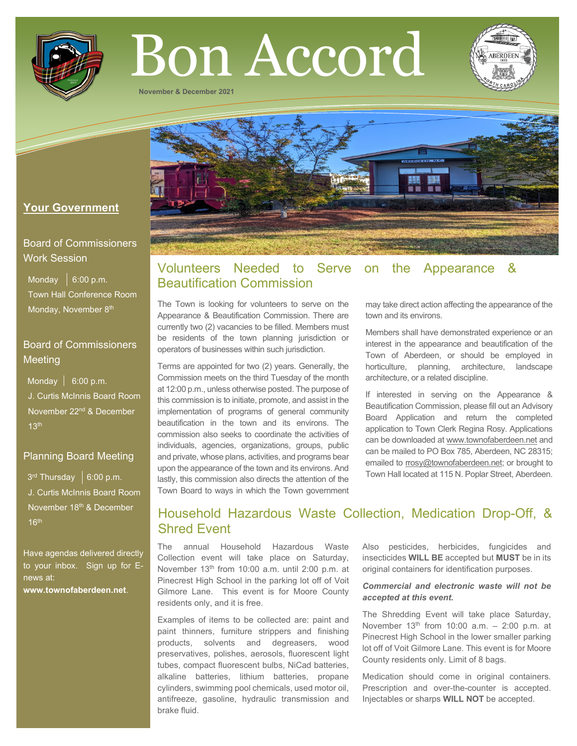

# Bon Accord

**November & December 2021**



## **Your Government**

## Board of Commissioners Work Session

Monday  $\vert$  6:00 p.m. Town Hall Conference Room Monday, November 8<sup>th</sup>

## Board of Commissioners Meeting

Monday  $\vert$  6:00 p.m. J. Curtis McInnis Board Room November 22nd & December  $13<sup>th</sup>$ 

## Planning Board Meeting

 $3<sup>rd</sup>$  Thursday  $\,$  6:00 p.m. J. Curtis McInnis Board Room November 18<sup>th</sup> & December  $16<sup>th</sup>$ 

Have agendas delivered directly to your inbox. Sign up for Enews at: **[www.townofaberdeen.net](http://www.townofaberdeen.net/)**.

# Volunteers Needed to Serve on the Appearance & Beautification Commission

The Town is looking for volunteers to serve on the Appearance & Beautification Commission. There are currently two (2) vacancies to be filled. Members must be residents of the town planning jurisdiction or operators of businesses within such jurisdiction.

Terms are appointed for two (2) years. Generally, the Commission meets on the third Tuesday of the month at 12:00 p.m., unless otherwise posted. The purpose of this commission is to initiate, promote, and assist in the implementation of programs of general community beautification in the town and its environs. The commission also seeks to coordinate the activities of individuals, agencies, organizations, groups, public and private, whose plans, activities, and programs bear upon the appearance of the town and its environs. And lastly, this commission also directs the attention of the Town Board to ways in which the Town government may take direct action affecting the appearance of the town and its environs.

Members shall have demonstrated experience or an interest in the appearance and beautification of the Town of Aberdeen, or should be employed in horticulture, planning, architecture, landscape architecture, or a related discipline.

If interested in serving on the Appearance & Beautification Commission, please fill out an Advisory Board Application and return the completed application to Town Clerk Regina Rosy. Applications can be downloaded at [www.townofaberdeen.net](http://www.townofaberdeen.net/) and can be mailed to PO Box 785, Aberdeen, NC 28315; emailed to [rrosy@townofaberdeen.net;](mailto:rrosy@townofaberdeen.net) or brought to Town Hall located at 115 N. Poplar Street, Aberdeen.

# Household Hazardous Waste Collection, Medication Drop-Off, & Shred Event

The annual Household Hazardous Waste Collection event will take place on Saturday, November 13<sup>th</sup> from 10:00 a.m. until 2:00 p.m. at Pinecrest High School in the parking lot off of Voit Gilmore Lane. This event is for Moore County residents only, and it is free.

Examples of items to be collected are: paint and paint thinners, furniture strippers and finishing products, solvents and degreasers, wood preservatives, polishes, aerosols, fluorescent light tubes, compact fluorescent bulbs, NiCad batteries, alkaline batteries, lithium batteries, propane cylinders, swimming pool chemicals, used motor oil, antifreeze, gasoline, hydraulic transmission and brake fluid.

Also pesticides, herbicides, fungicides and insecticides **WILL BE** accepted but **MUST** be in its original containers for identification purposes.

#### *Commercial and electronic waste will not be accepted at this event.*

The Shredding Event will take place Saturday, November  $13<sup>th</sup>$  from 10:00 a.m.  $-$  2:00 p.m. at Pinecrest High School in the lower smaller parking lot off of Voit Gilmore Lane. This event is for Moore County residents only. Limit of 8 bags.

Medication should come in original containers. Prescription and over-the-counter is accepted. Injectables or sharps **WILL NOT** be accepted.